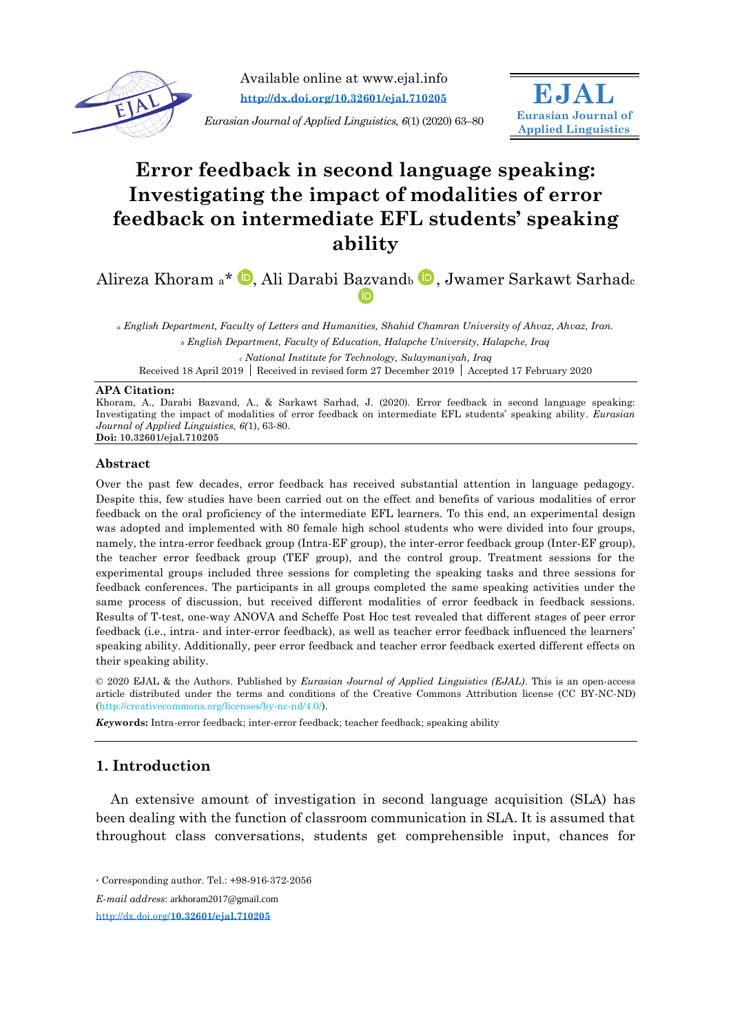

Available online at www.ejal.info **<http://dx.doi.org/10.32601/ejal.710205>**

*Eurasian Journal of Applied Linguistics, 6*(1) (2020) 63–80

# **Error feedback in second language speaking: Investigating the impact of modalities of error feedback on intermediate EFL students' speaking ability**

**EJAL Eurasian Journal of Applied Linguistics**

Alireza Khoram a\* D[,](https://orcid.org/0000-0003-0068-7634) Ali Darabi Bazvandb D, Jwamer Sarkawt Sarhadc (iD

*<sup>a</sup> English Department, Faculty of Letters and Humanities, Shahid Chamran University of Ahvaz, Ahvaz, Iran. <sup>b</sup> English Department, Faculty of Education, Halapche University, Halapche, Iraq*

*<sup>c</sup> National Institute for Technology, Sulaymaniyah, Iraq*

Received 18 April 2019 Received in revised form 27 December 2019 Accepted 17 February 2020

#### **APA Citation:**

Khoram, A., Darabi Bazvand, A., & Sarkawt Sarhad, J. (2020). Error feedback in second language speaking: Investigating the impact of modalities of error feedback on intermediate EFL students' speaking ability. *Eurasian Journal of Applied Linguistics, 6(*1), 63-80. **Doi: 10.32601/ejal.710205**

#### **Abstract**

Over the past few decades, error feedback has received substantial attention in language pedagogy. Despite this, few studies have been carried out on the effect and benefits of various modalities of error feedback on the oral proficiency of the intermediate EFL learners. To this end, an experimental design was adopted and implemented with 80 female high school students who were divided into four groups, namely, the intra-error feedback group (Intra-EF group), the inter-error feedback group (Inter-EF group), the teacher error feedback group (TEF group), and the control group. Treatment sessions for the experimental groups included three sessions for completing the speaking tasks and three sessions for feedback conferences. The participants in all groups completed the same speaking activities under the same process of discussion, but received different modalities of error feedback in feedback sessions. Results of T-test, one-way ANOVA and Scheffe Post Hoc test revealed that different stages of peer error feedback (i.e., intra- and inter-error feedback), as well as teacher error feedback influenced the learners' speaking ability. Additionally, peer error feedback and teacher error feedback exerted different effects on their speaking ability.

© 2020 EJAL & the Authors. Published by *Eurasian Journal of Applied Linguistics (EJAL)*. This is an open-access article distributed under the terms and conditions of the Creative Commons Attribution license (CC BY-NC-ND) (http://creativecommons.org/licenses/by-nc-nd/4.0/).

*Key***words:** Intra-error feedback; inter-error feedback; teacher feedback; speaking ability

## **1. Introduction**

An extensive amount of investigation in second language acquisition (SLA) has been dealing with the function of classroom communication in SLA. It is assumed that throughout class conversations, students get comprehensible input, chances for

http://dx.doi.org/**[10.32601/ejal.710205](http://dx.doi.org/10.32601/ejal.710205)**

<sup>\*</sup> Corresponding author. Tel.: +98-916-372-2056

*E-mail address*: [arkhoram2017@gmail.com](mailto:arkhoram2017@gmail.com)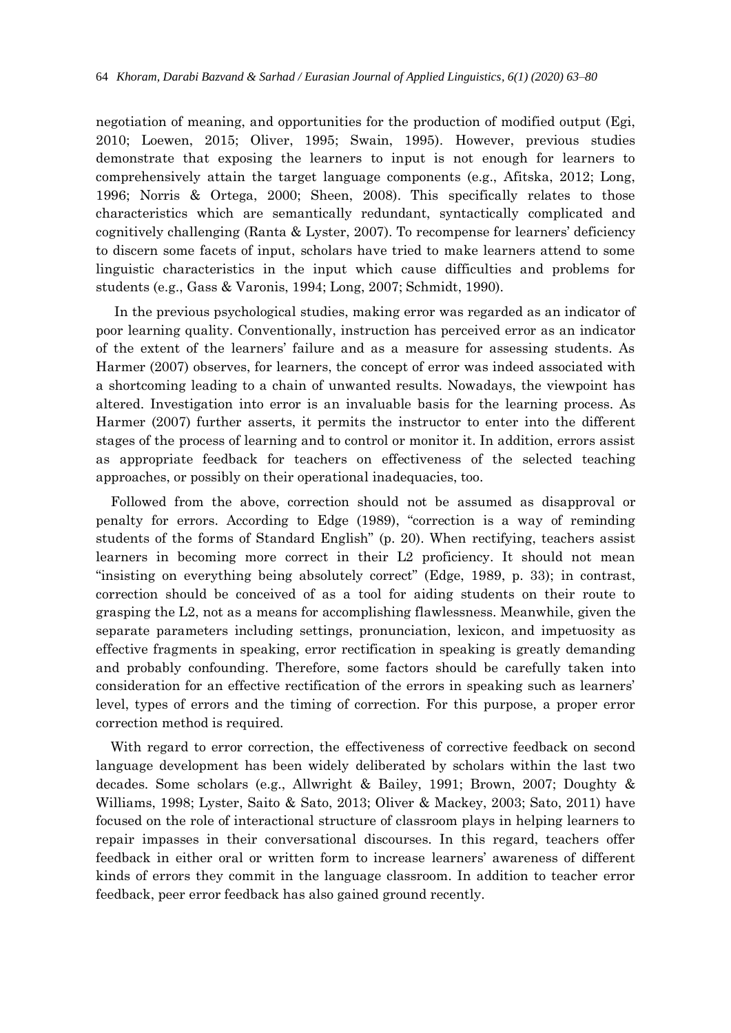negotiation of meaning, and opportunities for the production of modified output (Egi, 2010; Loewen, 2015; Oliver, 1995; Swain, 1995). However, previous studies demonstrate that exposing the learners to input is not enough for learners to comprehensively attain the target language components (e.g., Afitska, 2012; Long, 1996; Norris & Ortega, 2000; Sheen, 2008). This specifically relates to those characteristics which are semantically redundant, syntactically complicated and cognitively challenging (Ranta & Lyster, 2007). To recompense for learners' deficiency to discern some facets of input, scholars have tried to make learners attend to some linguistic characteristics in the input which cause difficulties and problems for students (e.g., Gass & Varonis, 1994; Long, 2007; Schmidt, 1990).

In the previous psychological studies, making error was regarded as an indicator of poor learning quality. Conventionally, instruction has perceived error as an indicator of the extent of the learners' failure and as a measure for assessing students. As Harmer (2007) observes, for learners, the concept of error was indeed associated with a shortcoming leading to a chain of unwanted results. Nowadays, the viewpoint has altered. Investigation into error is an invaluable basis for the learning process. As Harmer (2007) further asserts, it permits the instructor to enter into the different stages of the process of learning and to control or monitor it. In addition, errors assist as appropriate feedback for teachers on effectiveness of the selected teaching approaches, or possibly on their operational inadequacies, too.

Followed from the above, correction should not be assumed as disapproval or penalty for errors. According to Edge (1989), "correction is a way of reminding students of the forms of Standard English" (p. 20). When rectifying, teachers assist learners in becoming more correct in their L2 proficiency. It should not mean "insisting on everything being absolutely correct" (Edge, 1989, p. 33); in contrast, correction should be conceived of as a tool for aiding students on their route to grasping the L2, not as a means for accomplishing flawlessness. Meanwhile, given the separate parameters including settings, pronunciation, lexicon, and impetuosity as effective fragments in speaking, error rectification in speaking is greatly demanding and probably confounding. Therefore, some factors should be carefully taken into consideration for an effective rectification of the errors in speaking such as learners' level, types of errors and the timing of correction. For this purpose, a proper error correction method is required.

With regard to error correction, the effectiveness of corrective feedback on second language development has been widely deliberated by scholars within the last two decades. Some scholars (e.g., Allwright & Bailey, 1991; Brown, 2007; Doughty & Williams, 1998; Lyster, Saito & Sato, 2013; Oliver & Mackey, 2003; Sato, 2011) have focused on the role of interactional structure of classroom plays in helping learners to repair impasses in their conversational discourses. In this regard, teachers offer feedback in either oral or written form to increase learners' awareness of different kinds of errors they commit in the language classroom. In addition to teacher error feedback, peer error feedback has also gained ground recently.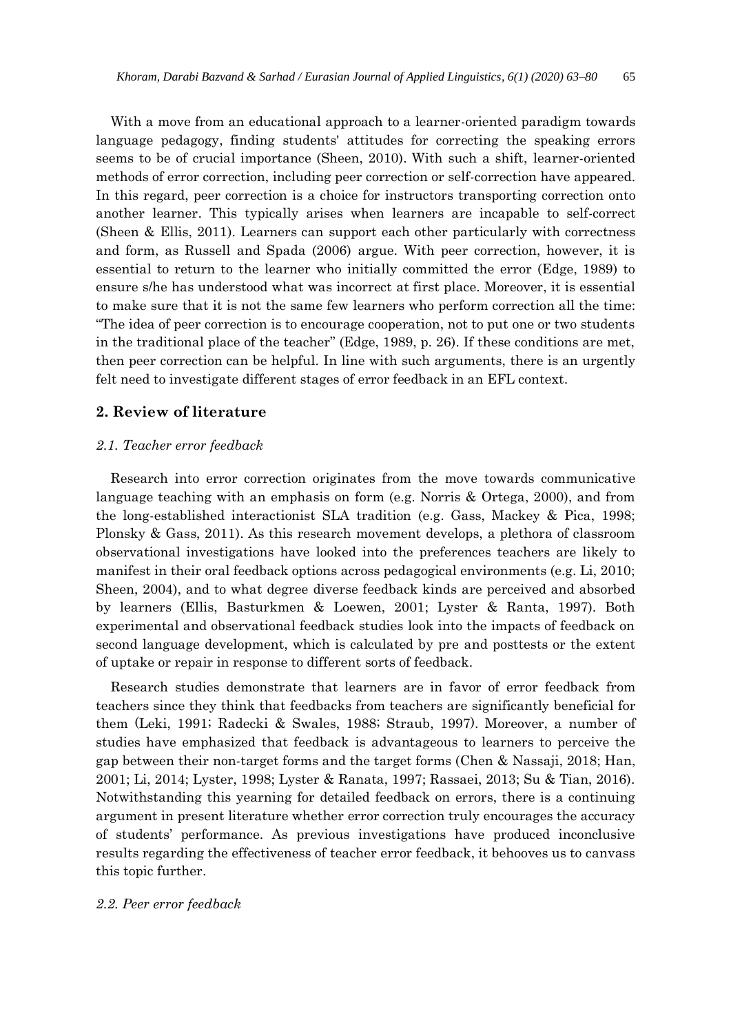With a move from an educational approach to a learner-oriented paradigm towards language pedagogy, finding students' attitudes for correcting the speaking errors seems to be of crucial importance (Sheen, 2010). With such a shift, learner-oriented methods of error correction, including peer correction or self-correction have appeared. In this regard, peer correction is a choice for instructors transporting correction onto another learner. This typically arises when learners are incapable to self-correct (Sheen & Ellis, 2011). Learners can support each other particularly with correctness and form, as Russell and Spada (2006) argue. With peer correction, however, it is essential to return to the learner who initially committed the error (Edge, 1989) to ensure s/he has understood what was incorrect at first place. Moreover, it is essential to make sure that it is not the same few learners who perform correction all the time: "The idea of peer correction is to encourage cooperation, not to put one or two students in the traditional place of the teacher" (Edge, 1989, p. 26). If these conditions are met, then peer correction can be helpful. In line with such arguments, there is an urgently felt need to investigate different stages of error feedback in an EFL context.

## **2. Review of literature**

#### *2.1. Teacher error feedback*

Research into error correction originates from the move towards communicative language teaching with an emphasis on form (e.g. Norris & Ortega, 2000), and from the long-established interactionist SLA tradition (e.g. Gass, Mackey & Pica, 1998; Plonsky & Gass, 2011). As this research movement develops, a plethora of classroom observational investigations have looked into the preferences teachers are likely to manifest in their oral feedback options across pedagogical environments (e.g. Li, 2010; Sheen, 2004), and to what degree diverse feedback kinds are perceived and absorbed by learners (Ellis, Basturkmen & Loewen, 2001; Lyster & Ranta, 1997). Both experimental and observational feedback studies look into the impacts of feedback on second language development, which is calculated by pre and posttests or the extent of uptake or repair in response to different sorts of feedback.

Research studies demonstrate that learners are in favor of error feedback from teachers since they think that feedbacks from teachers are significantly beneficial for them (Leki, 1991; Radecki & Swales, 1988; Straub, 1997). Moreover, a number of studies have emphasized that feedback is advantageous to learners to perceive the gap between their non-target forms and the target forms ([Chen](https://www.cambridge.org/core/search?filters%5BauthorTerms%5D=Sibo%20Chen&eventCode=SE-AU) & [Nassaji](https://www.cambridge.org/core/search?filters%5BauthorTerms%5D=Hossein%20Nassaji&eventCode=SE-AU), 2018; Han, 2001; Li, 2014; Lyster, 1998; Lyster & Ranata, 1997; Rassaei, 2013; Su & Tian, 2016). Notwithstanding this yearning for detailed feedback on errors, there is a continuing argument in present literature whether error correction truly encourages the accuracy of students' performance. As previous investigations have produced inconclusive results regarding the effectiveness of teacher error feedback, it behooves us to canvass this topic further.

#### *2.2. Peer error feedback*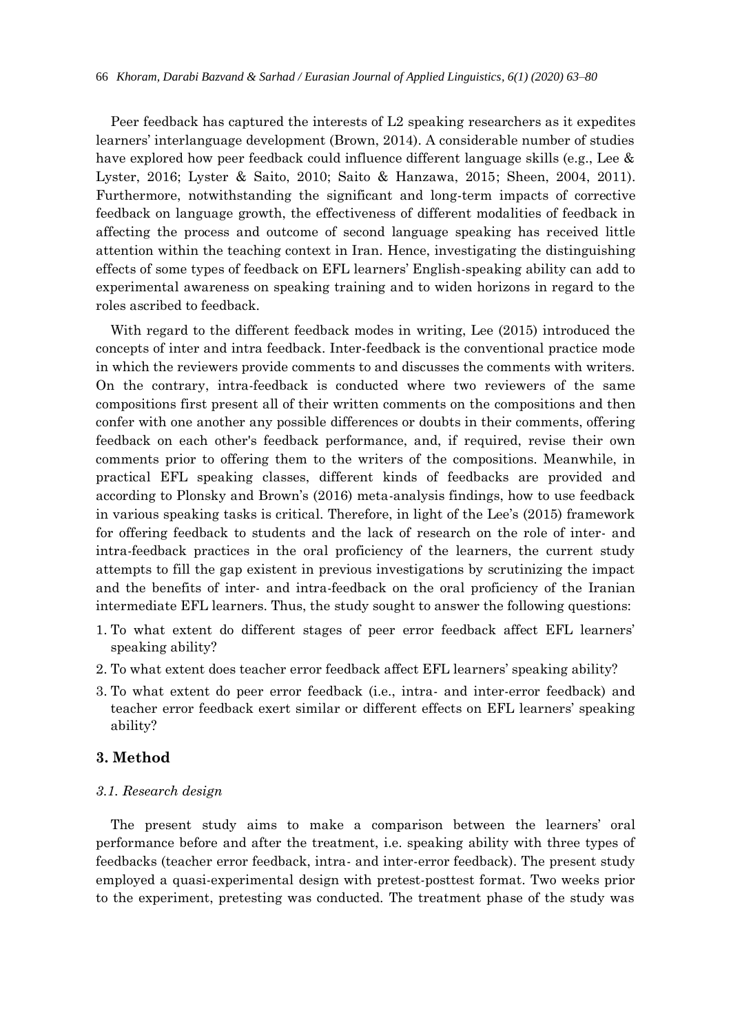Peer feedback has captured the interests of L2 speaking researchers as it expedites learners' interlanguage development (Brown, 2014). A considerable number of studies have explored how peer feedback could influence different language skills (e.g., Lee & Lyster, 2016; Lyster & Saito, 2010; Saito & Hanzawa, 2015; Sheen, 2004, 2011). Furthermore, notwithstanding the significant and long-term impacts of corrective feedback on language growth, the effectiveness of different modalities of feedback in affecting the process and outcome of second language speaking has received little attention within the teaching context in Iran. Hence, investigating the distinguishing effects of some types of feedback on EFL learners' English-speaking ability can add to experimental awareness on speaking training and to widen horizons in regard to the roles ascribed to feedback.

With regard to the different feedback modes in writing, Lee (2015) introduced the concepts of inter and intra feedback. Inter-feedback is the conventional practice mode in which the reviewers provide comments to and discusses the comments with writers. On the contrary, intra-feedback is conducted where two reviewers of the same compositions first present all of their written comments on the compositions and then confer with one another any possible differences or doubts in their comments, offering feedback on each other's feedback performance, and, if required, revise their own comments prior to offering them to the writers of the compositions. Meanwhile, in practical EFL speaking classes, different kinds of feedbacks are provided and according to Plonsky and Brown's (2016) meta-analysis findings, how to use feedback in various speaking tasks is critical. Therefore, in light of the Lee's (2015) framework for offering feedback to students and the lack of research on the role of inter- and intra-feedback practices in the oral proficiency of the learners, the current study attempts to fill the gap existent in previous investigations by scrutinizing the impact and the benefits of inter- and intra-feedback on the oral proficiency of the Iranian intermediate EFL learners. Thus, the study sought to answer the following questions:

- 1. To what extent do different stages of peer error feedback affect EFL learners' speaking ability?
- 2. To what extent does teacher error feedback affect EFL learners' speaking ability?
- 3. To what extent do peer error feedback (i.e., intra- and inter-error feedback) and teacher error feedback exert similar or different effects on EFL learners' speaking ability?

## **3. Method**

#### *3.1. Research design*

The present study aims to make a comparison between the learners' oral performance before and after the treatment, i.e. speaking ability with three types of feedbacks (teacher error feedback, intra- and inter-error feedback). The present study employed a quasi-experimental design with pretest-posttest format. Two weeks prior to the experiment, pretesting was conducted. The treatment phase of the study was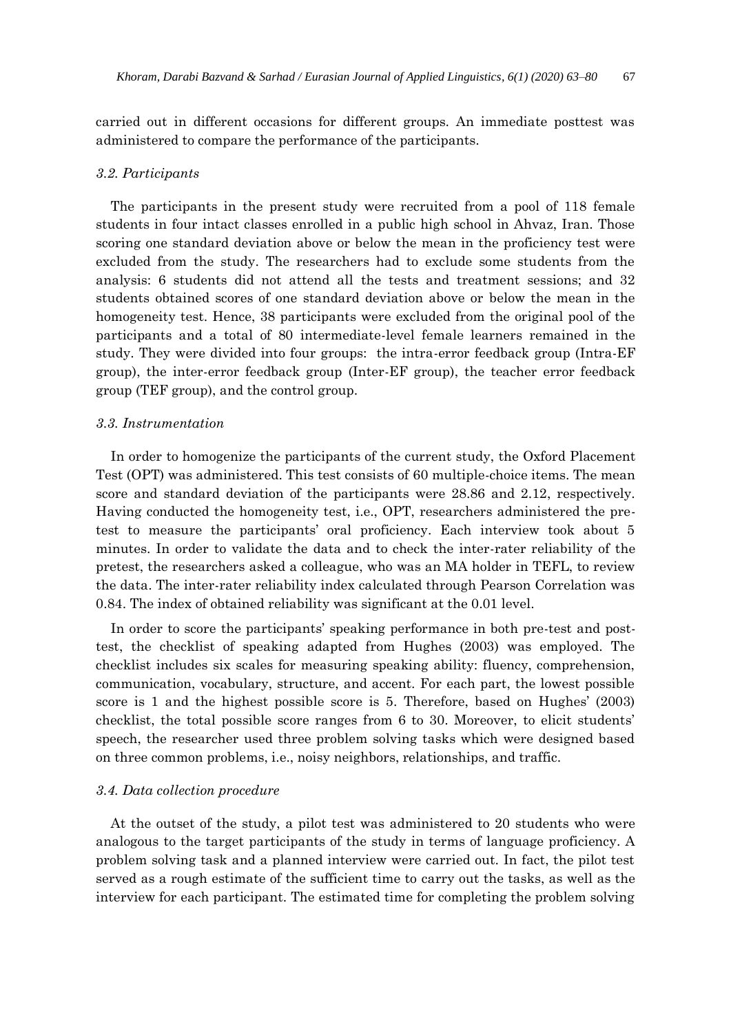carried out in different occasions for different groups. An immediate posttest was administered to compare the performance of the participants.

#### *3.2. Participants*

The participants in the present study were recruited from a pool of 118 female students in four intact classes enrolled in a public high school in Ahvaz, Iran. Those scoring one standard deviation above or below the mean in the proficiency test were excluded from the study. The researchers had to exclude some students from the analysis: 6 students did not attend all the tests and treatment sessions; and 32 students obtained scores of one standard deviation above or below the mean in the homogeneity test. Hence, 38 participants were excluded from the original pool of the participants and a total of 80 intermediate-level female learners remained in the study. They were divided into four groups: the intra-error feedback group (Intra-EF group), the inter-error feedback group (Inter-EF group), the teacher error feedback group (TEF group), and the control group.

#### *3.3. Instrumentation*

In order to homogenize the participants of the current study, the Oxford Placement Test (OPT) was administered. This test consists of 60 multiple-choice items. The mean score and standard deviation of the participants were 28.86 and 2.12, respectively. Having conducted the homogeneity test, i.e., OPT, researchers administered the pretest to measure the participants' oral proficiency. Each interview took about 5 minutes. In order to validate the data and to check the inter-rater reliability of the pretest, the researchers asked a colleague, who was an MA holder in TEFL, to review the data. The inter-rater reliability index calculated through Pearson Correlation was 0.84. The index of obtained reliability was significant at the 0.01 level.

In order to score the participants' speaking performance in both pre-test and posttest, the checklist of speaking adapted from Hughes (2003) was employed. The checklist includes six scales for measuring speaking ability: fluency, comprehension, communication, vocabulary, structure, and accent. For each part, the lowest possible score is 1 and the highest possible score is 5. Therefore, based on Hughes' (2003) checklist, the total possible score ranges from 6 to 30. Moreover, to elicit students' speech, the researcher used three problem solving tasks which were designed based on three common problems, i.e., noisy neighbors, relationships, and traffic.

#### *3.4. Data collection procedure*

At the outset of the study, a pilot test was administered to 20 students who were analogous to the target participants of the study in terms of language proficiency. A problem solving task and a planned interview were carried out. In fact, the pilot test served as a rough estimate of the sufficient time to carry out the tasks, as well as the interview for each participant. The estimated time for completing the problem solving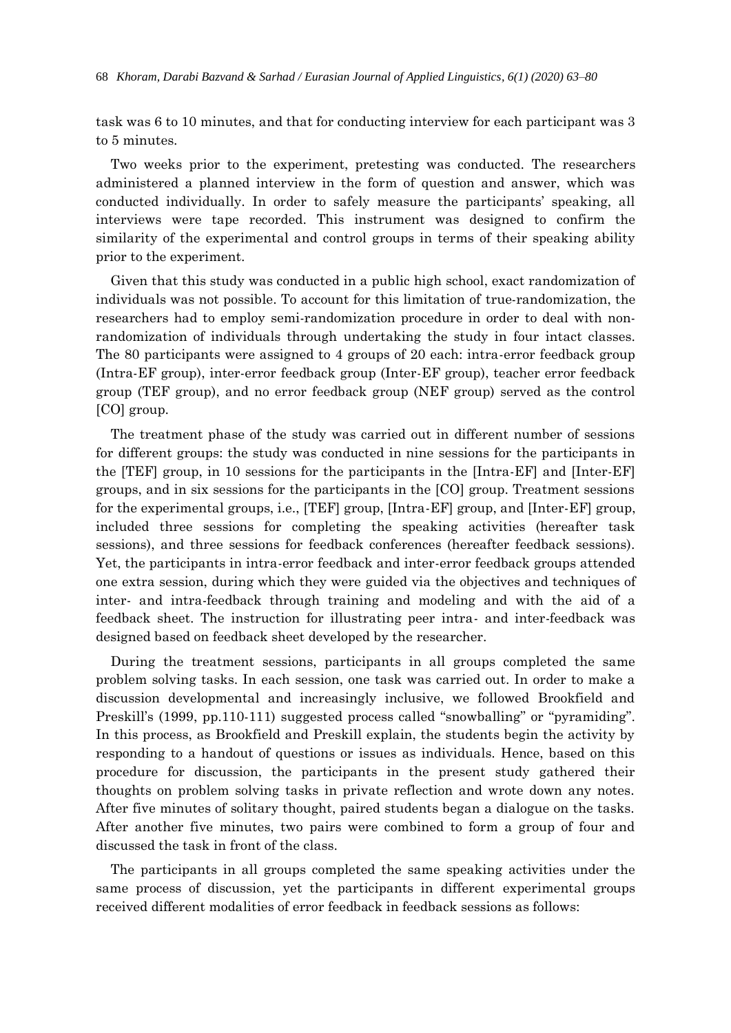task was 6 to 10 minutes, and that for conducting interview for each participant was 3 to 5 minutes.

Two weeks prior to the experiment, pretesting was conducted. The researchers administered a planned interview in the form of question and answer, which was conducted individually. In order to safely measure the participants' speaking, all interviews were tape recorded. This instrument was designed to confirm the similarity of the experimental and control groups in terms of their speaking ability prior to the experiment.

Given that this study was conducted in a public high school, exact randomization of individuals was not possible. To account for this limitation of true-randomization, the researchers had to employ semi-randomization procedure in order to deal with nonrandomization of individuals through undertaking the study in four intact classes. The 80 participants were assigned to 4 groups of 20 each: intra-error feedback group (Intra-EF group), inter-error feedback group (Inter-EF group), teacher error feedback group (TEF group), and no error feedback group (NEF group) served as the control [CO] group.

The treatment phase of the study was carried out in different number of sessions for different groups: the study was conducted in nine sessions for the participants in the [TEF] group, in 10 sessions for the participants in the [Intra-EF] and [Inter-EF] groups, and in six sessions for the participants in the [CO] group. Treatment sessions for the experimental groups, i.e., [TEF] group, [Intra-EF] group, and [Inter-EF] group, included three sessions for completing the speaking activities (hereafter task sessions), and three sessions for feedback conferences (hereafter feedback sessions). Yet, the participants in intra-error feedback and inter-error feedback groups attended one extra session, during which they were guided via the objectives and techniques of inter- and intra-feedback through training and modeling and with the aid of a feedback sheet. The instruction for illustrating peer intra- and inter-feedback was designed based on feedback sheet developed by the researcher.

During the treatment sessions, participants in all groups completed the same problem solving tasks. In each session, one task was carried out. In order to make a discussion developmental and increasingly inclusive, we followed Brookfield and Preskill's (1999, pp.110-111) suggested process called "snowballing" or "pyramiding". In this process, as Brookfield and Preskill explain, the students begin the activity by responding to a handout of questions or issues as individuals. Hence, based on this procedure for discussion, the participants in the present study gathered their thoughts on problem solving tasks in private reflection and wrote down any notes. After five minutes of solitary thought, paired students began a dialogue on the tasks. After another five minutes, two pairs were combined to form a group of four and discussed the task in front of the class.

The participants in all groups completed the same speaking activities under the same process of discussion, yet the participants in different experimental groups received different modalities of error feedback in feedback sessions as follows: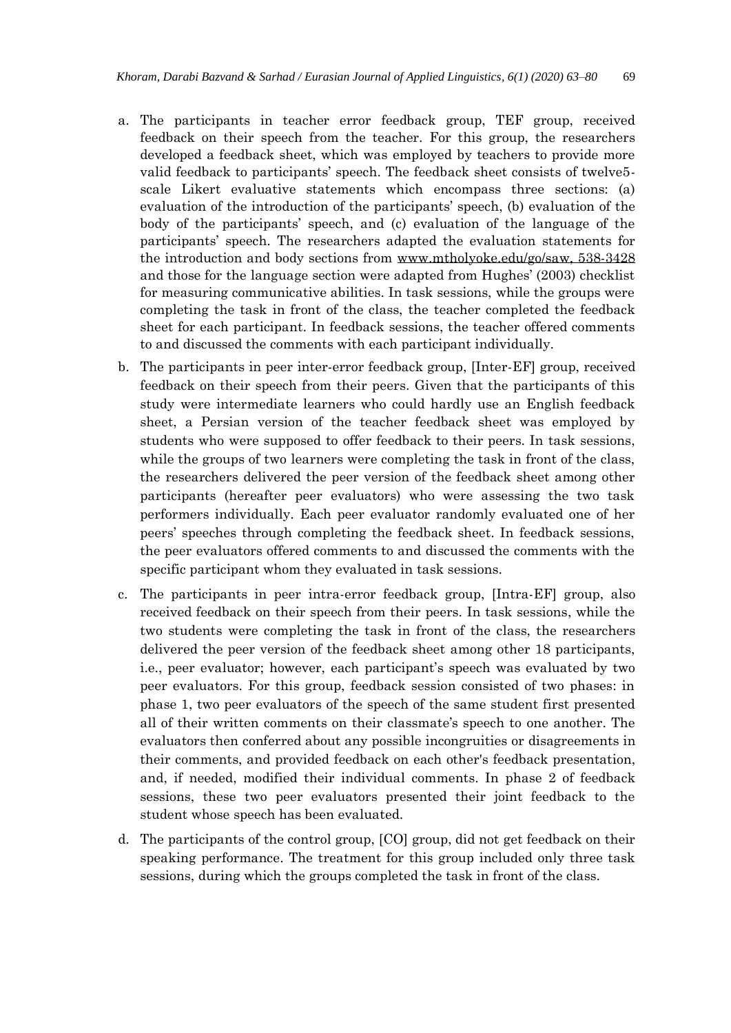- a. The participants in teacher error feedback group, TEF group, received feedback on their speech from the teacher. For this group, the researchers developed a feedback sheet, which was employed by teachers to provide more valid feedback to participants' speech. The feedback sheet consists of twelve5 scale Likert evaluative statements which encompass three sections: (a) evaluation of the introduction of the participants' speech, (b) evaluation of the body of the participants' speech, and (c) evaluation of the language of the participants' speech. The researchers adapted the evaluation statements for the introduction and body sections from www.mtholyoke.edu/go/saw, 538-3428 and those for the language section were adapted from Hughes' (2003) checklist for measuring communicative abilities. In task sessions, while the groups were completing the task in front of the class, the teacher completed the feedback sheet for each participant. In feedback sessions, the teacher offered comments to and discussed the comments with each participant individually.
- b. The participants in peer inter-error feedback group, [Inter-EF] group, received feedback on their speech from their peers. Given that the participants of this study were intermediate learners who could hardly use an English feedback sheet, a Persian version of the teacher feedback sheet was employed by students who were supposed to offer feedback to their peers. In task sessions, while the groups of two learners were completing the task in front of the class, the researchers delivered the peer version of the feedback sheet among other participants (hereafter peer evaluators) who were assessing the two task performers individually. Each peer evaluator randomly evaluated one of her peers' speeches through completing the feedback sheet. In feedback sessions, the peer evaluators offered comments to and discussed the comments with the specific participant whom they evaluated in task sessions.
- c. The participants in peer intra-error feedback group, [Intra-EF] group, also received feedback on their speech from their peers. In task sessions, while the two students were completing the task in front of the class, the researchers delivered the peer version of the feedback sheet among other 18 participants, i.e., peer evaluator; however, each participant's speech was evaluated by two peer evaluators. For this group, feedback session consisted of two phases: in phase 1, two peer evaluators of the speech of the same student first presented all of their written comments on their classmate's speech to one another. The evaluators then conferred about any possible incongruities or disagreements in their comments, and provided feedback on each other's feedback presentation, and, if needed, modified their individual comments. In phase 2 of feedback sessions, these two peer evaluators presented their joint feedback to the student whose speech has been evaluated.
- d. The participants of the control group, [CO] group, did not get feedback on their speaking performance. The treatment for this group included only three task sessions, during which the groups completed the task in front of the class.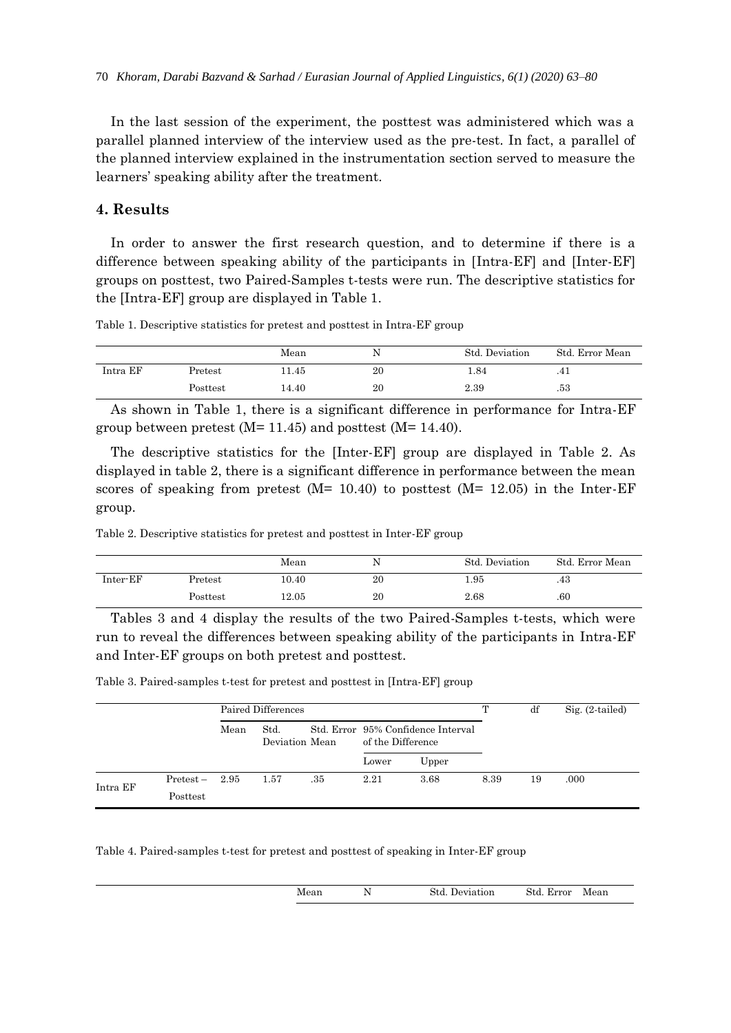In the last session of the experiment, the posttest was administered which was a parallel planned interview of the interview used as the pre-test. In fact, a parallel of the planned interview explained in the instrumentation section served to measure the learners' speaking ability after the treatment.

## **4. Results**

In order to answer the first research question, and to determine if there is a difference between speaking ability of the participants in [Intra-EF] and [Inter-EF] groups on posttest, two Paired-Samples t-tests were run. The descriptive statistics for the [Intra-EF] group are displayed in Table 1.

Table 1. Descriptive statistics for pretest and posttest in Intra-EF group

|          |          | Mean  | . . | Std. Deviation | Std. Error Mean |
|----------|----------|-------|-----|----------------|-----------------|
| Intra EF | Pretest  | 11.45 | 20  | 1.84           | .41             |
|          | Posttest | 14.40 | 20  | 2.39           | .53             |

As shown in Table 1, there is a significant difference in performance for Intra-EF group between pretest  $(M= 11.45)$  and posttest  $(M= 14.40)$ .

The descriptive statistics for the [Inter-EF] group are displayed in Table 2. As displayed in table 2, there is a significant difference in performance between the mean scores of speaking from pretest  $(M= 10.40)$  to posttest  $(M= 12.05)$  in the Inter-EF group.

Table 2. Descriptive statistics for pretest and posttest in Inter-EF group

|          |          | Mean  | N  | Std. Deviation | Std. Error Mean |
|----------|----------|-------|----|----------------|-----------------|
| Inter-EF | Pretest  | 10.40 | 20 | . 95           | .43             |
|          | Posttest | 12.05 | 20 | 2.68           | .60             |

Tables 3 and 4 display the results of the two Paired-Samples t-tests, which were run to reveal the differences between speaking ability of the participants in Intra-EF and Inter-EF groups on both pretest and posttest.

Table 3. Paired-samples t-test for pretest and posttest in [Intra-EF] group

|          |                              | Paired Differences |                        |     |                                                         | т     | df   | $Sig. (2-tailed)$ |      |
|----------|------------------------------|--------------------|------------------------|-----|---------------------------------------------------------|-------|------|-------------------|------|
|          |                              | Mean               | Std.<br>Deviation Mean |     | Std. Error 95% Confidence Interval<br>of the Difference |       |      |                   |      |
|          |                              |                    |                        |     | Lower                                                   | Upper |      |                   |      |
| Intra EF | $Pretest - 2.95$<br>Posttest |                    | 1.57                   | .35 | 2.21                                                    | 3.68  | 8.39 | 19                | .000 |

Table 4. Paired-samples t-test for pretest and posttest of speaking in Inter-EF group

| Mean | . . | Std.<br>Deviation<br>. | <b>The Second Second</b><br>$\operatorname{Std}.$<br>Error | Mean |
|------|-----|------------------------|------------------------------------------------------------|------|
|      |     |                        |                                                            |      |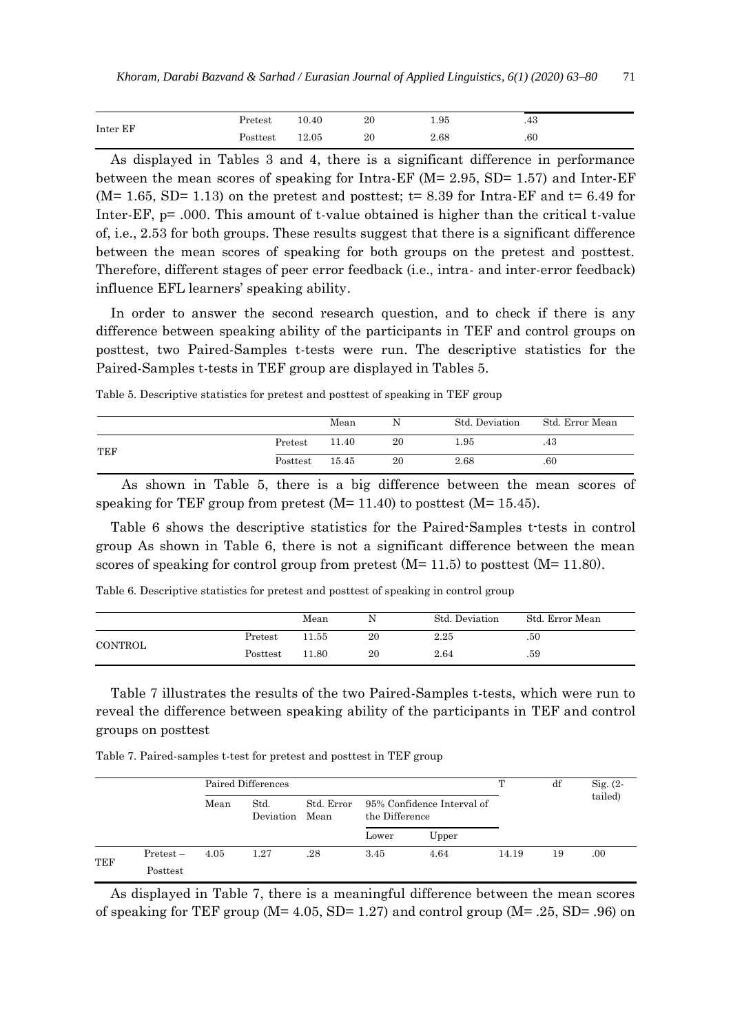|          | $\rm Pretest$ | 10.40 | 20 | 1.95 | $\Lambda$ $\Omega$<br>.40 |
|----------|---------------|-------|----|------|---------------------------|
| Inter EF | Posttest      | 12.05 | 20 | 2.68 | .60                       |

As displayed in Tables 3 and 4, there is a significant difference in performance between the mean scores of speaking for Intra-EF (M= 2.95, SD= 1.57) and Inter-EF  $(M= 1.65, SD= 1.13)$  on the pretest and posttest; t= 8.39 for Intra-EF and t= 6.49 for Inter-EF, p= .000. This amount of t-value obtained is higher than the critical t-value of, i.e., 2.53 for both groups. These results suggest that there is a significant difference between the mean scores of speaking for both groups on the pretest and posttest. Therefore, different stages of peer error feedback (i.e., intra- and inter-error feedback) influence EFL learners' speaking ability.

In order to answer the second research question, and to check if there is any difference between speaking ability of the participants in TEF and control groups on posttest, two Paired-Samples t-tests were run. The descriptive statistics for the Paired-Samples t-tests in TEF group are displayed in Tables 5.

Table 5. Descriptive statistics for pretest and posttest of speaking in TEF group

|     |          | Mean  |    | Std. Deviation | Std. Error Mean |
|-----|----------|-------|----|----------------|-----------------|
| TEF | Pretest  | 11.40 | 20 | 1.95           | .43             |
|     | Posttest | 15.45 | 20 | 2.68           | .60             |

 As shown in Table 5, there is a big difference between the mean scores of speaking for TEF group from pretest  $(M= 11.40)$  to posttest  $(M= 15.45)$ .

Table 6 shows the descriptive statistics for the Paired-Samples t-tests in control group As shown in Table 6, there is not a significant difference between the mean scores of speaking for control group from pretest  $(M=11.5)$  to posttest  $(M=11.80)$ .

|  |  | Table 6. Descriptive statistics for pretest and posttest of speaking in control group |  |  |
|--|--|---------------------------------------------------------------------------------------|--|--|
|  |  |                                                                                       |  |  |

|         |          | Mean  | N  | Std. Deviation | Std. Error Mean |
|---------|----------|-------|----|----------------|-----------------|
| CONTROL | Pretest  | 11.55 | 20 | 2.25           | .50             |
|         | Posttest | 11.80 | 20 | 2.64           | .59             |

Table 7 illustrates the results of the two Paired-Samples t-tests, which were run to reveal the difference between speaking ability of the participants in TEF and control groups on posttest

Table 7. Paired-samples t-test for pretest and posttest in TEF group

|     |             | Paired Differences |                        |            |                                              |       |       | df | $Sig. (2 -$ |
|-----|-------------|--------------------|------------------------|------------|----------------------------------------------|-------|-------|----|-------------|
|     |             | Mean               | Std.<br>Deviation Mean | Std. Error | 95% Confidence Interval of<br>the Difference |       |       |    | tailed)     |
|     |             |                    |                        |            | Lower                                        | Upper |       |    |             |
| TEF | $Pretest -$ | 4.05               | 1.27                   | .28        | 3.45                                         | 4.64  | 14.19 | 19 | .00         |
|     | Posttest    |                    |                        |            |                                              |       |       |    |             |

As displayed in Table 7, there is a meaningful difference between the mean scores of speaking for TEF group ( $M = 4.05$ , SD= 1.27) and control group ( $M = .25$ , SD= .96) on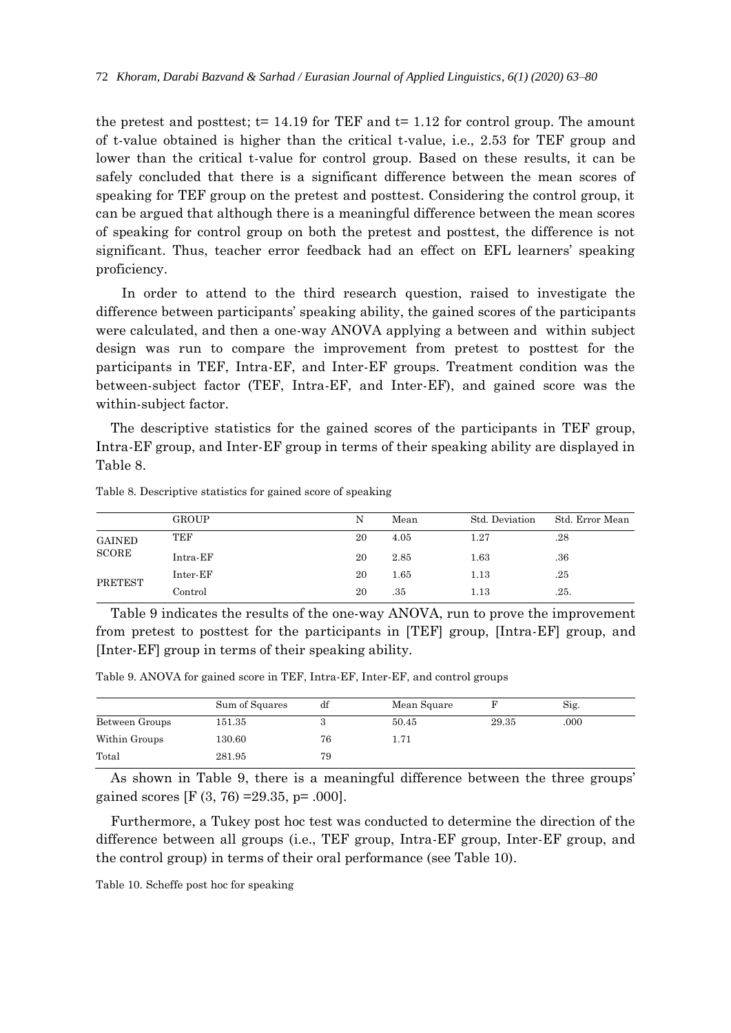the pretest and posttest;  $t= 14.19$  for TEF and  $t= 1.12$  for control group. The amount of t-value obtained is higher than the critical t-value, i.e., 2.53 for TEF group and lower than the critical t-value for control group. Based on these results, it can be safely concluded that there is a significant difference between the mean scores of speaking for TEF group on the pretest and posttest. Considering the control group, it can be argued that although there is a meaningful difference between the mean scores of speaking for control group on both the pretest and posttest, the difference is not significant. Thus, teacher error feedback had an effect on EFL learners' speaking proficiency.

 In order to attend to the third research question, raised to investigate the difference between participants' speaking ability, the gained scores of the participants were calculated, and then a one-way ANOVA applying a between and within subject design was run to compare the improvement from pretest to posttest for the participants in TEF, Intra-EF, and Inter-EF groups. Treatment condition was the between-subject factor (TEF, Intra-EF, and Inter-EF), and gained score was the within-subject factor.

The descriptive statistics for the gained scores of the participants in TEF group, Intra-EF group, and Inter-EF group in terms of their speaking ability are displayed in Table 8.

|                                 | <b>GROUP</b>  | N  | Mean | Std. Deviation | Std. Error Mean |
|---------------------------------|---------------|----|------|----------------|-----------------|
| <b>GAINED</b><br>$\rm ^{SCORE}$ | TEF           | 20 | 4.05 | 1.27           | .28             |
|                                 | Intra-EF      | 20 | 2.85 | 1.63           | .36             |
| PRETEST                         | Inter-EF      | 20 | 1.65 | $1.13\,$       | .25             |
|                                 | $\rm Control$ | 20 | .35  | $1.13\,$       | .25.            |

Table 8. Descriptive statistics for gained score of speaking

Table 9 indicates the results of the one-way ANOVA, run to prove the improvement from pretest to posttest for the participants in [TEF] group, [Intra-EF] group, and [Inter-EF] group in terms of their speaking ability.

Table 9. ANOVA for gained score in TEF, Intra-EF, Inter-EF, and control groups

|                | Sum of Squares | df | Mean Square |       | Sig. |  |
|----------------|----------------|----|-------------|-------|------|--|
| Between Groups | 151.35         |    | 50.45       | 29.35 | .000 |  |
| Within Groups  | 130.60         | 76 | 1.71        |       |      |  |
| Total          | 281.95         | 79 |             |       |      |  |

As shown in Table 9, there is a meaningful difference between the three groups' gained scores [F (3, 76) =29.35, p= .000].

Furthermore, a Tukey post hoc test was conducted to determine the direction of the difference between all groups (i.e., TEF group, Intra-EF group, Inter-EF group, and the control group) in terms of their oral performance (see Table 10).

Table 10. Scheffe post hoc for speaking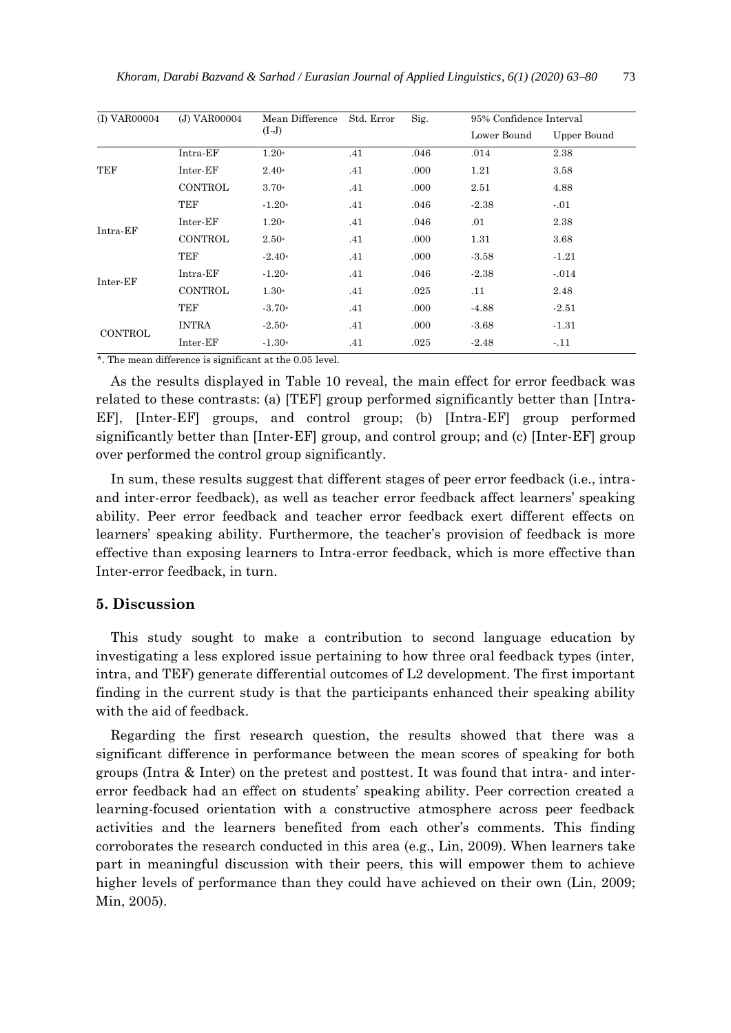| (I) VAR00004   | (J) VAR00004   | Mean Difference | Std. Error | Sig. | 95% Confidence Interval |             |
|----------------|----------------|-----------------|------------|------|-------------------------|-------------|
|                |                | $(I-J)$         |            |      | Lower Bound             | Upper Bound |
|                | Intra-EF       | $1.20*$         | .41        | .046 | .014                    | 2.38        |
| TEF            | Inter-EF       | $2.40*$         | .41        | .000 | 1.21                    | 3.58        |
|                | <b>CONTROL</b> | $3.70*$         | .41        | .000 | 2.51                    | 4.88        |
|                | TEF            | $-1.20*$        | .41        | .046 | $-2.38$                 | $-.01$      |
|                | Inter-EF       | $1.20*$         | .41        | .046 | .01                     | 2.38        |
| Intra-EF       | <b>CONTROL</b> | $2.50*$         | .41        | .000 | 1.31                    | 3.68        |
|                | TEF            | $-2.40*$        | .41        | .000 | $-3.58$                 | $-1.21$     |
| Inter-EF       | Intra-EF       | $-1.20*$        | .41        | .046 | $-2.38$                 | $-.014$     |
|                | <b>CONTROL</b> | $1.30*$         | .41        | .025 | .11                     | 2.48        |
|                | TEF            | $-3.70*$        | .41        | .000 | $-4.88$                 | $-2.51$     |
|                | <b>INTRA</b>   | $-2.50*$        | .41        | .000 | $-3.68$                 | $-1.31$     |
| <b>CONTROL</b> | Inter-EF       | $-1.30*$        | .41        | .025 | $-2.48$                 | $-.11$      |
|                |                |                 |            |      |                         |             |

\*. The mean difference is significant at the 0.05 level.

As the results displayed in Table 10 reveal, the main effect for error feedback was related to these contrasts: (a) [TEF] group performed significantly better than [Intra-EF], [Inter-EF] groups, and control group; (b) [Intra-EF] group performed significantly better than [Inter-EF] group, and control group; and (c) [Inter-EF] group over performed the control group significantly.

In sum, these results suggest that different stages of peer error feedback (i.e., intraand inter-error feedback), as well as teacher error feedback affect learners' speaking ability. Peer error feedback and teacher error feedback exert different effects on learners' speaking ability. Furthermore, the teacher's provision of feedback is more effective than exposing learners to Intra-error feedback, which is more effective than Inter-error feedback, in turn.

## **5. Discussion**

This study sought to make a contribution to second language education by investigating a less explored issue pertaining to how three oral feedback types (inter, intra, and TEF) generate differential outcomes of L2 development. The first important finding in the current study is that the participants enhanced their speaking ability with the aid of feedback.

Regarding the first research question, the results showed that there was a significant difference in performance between the mean scores of speaking for both groups (Intra & Inter) on the pretest and posttest. It was found that intra- and intererror feedback had an effect on students' speaking ability. Peer correction created a learning-focused orientation with a constructive atmosphere across peer feedback activities and the learners benefited from each other's comments. This finding corroborates the research conducted in this area (e.g., Lin, 2009). When learners take part in meaningful discussion with their peers, this will empower them to achieve higher levels of performance than they could have achieved on their own (Lin, 2009; Min, 2005).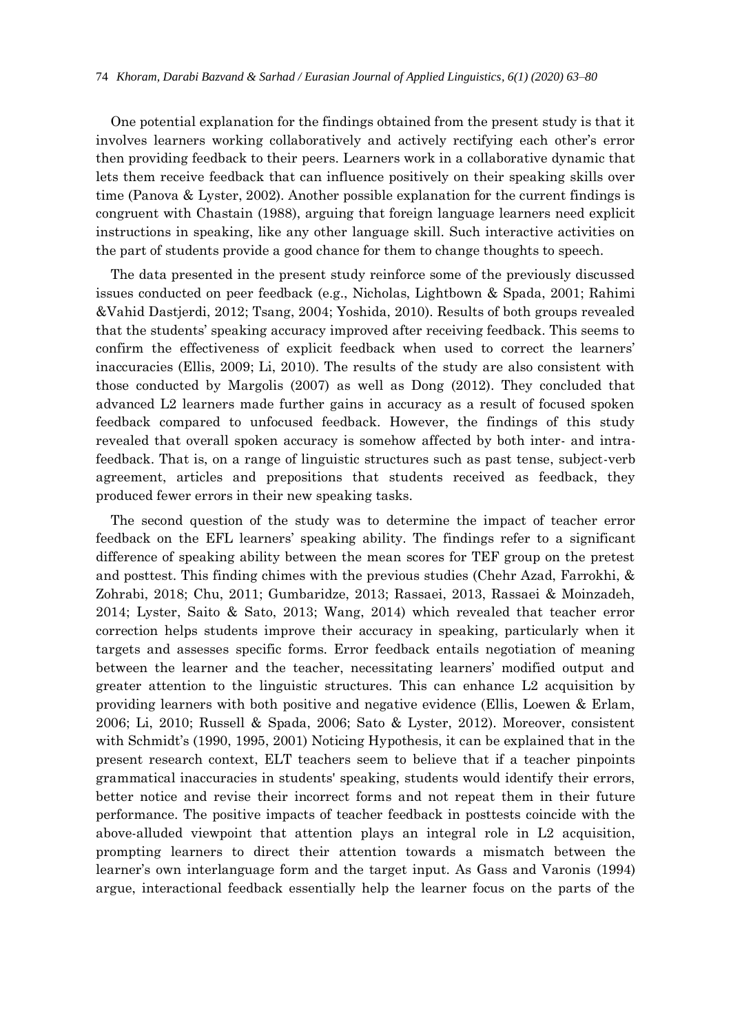One potential explanation for the findings obtained from the present study is that it involves learners working collaboratively and actively rectifying each other's error then providing feedback to their peers. Learners work in a collaborative dynamic that lets them receive feedback that can influence positively on their speaking skills over time (Panova & Lyster, 2002). Another possible explanation for the current findings is congruent with Chastain (1988), arguing that foreign language learners need explicit instructions in speaking, like any other language skill. Such interactive activities on the part of students provide a good chance for them to change thoughts to speech.

The data presented in the present study reinforce some of the previously discussed issues conducted on peer feedback (e.g., Nicholas, Lightbown & Spada, 2001; Rahimi &Vahid Dastjerdi, 2012; Tsang, 2004; Yoshida, 2010). Results of both groups revealed that the students' speaking accuracy improved after receiving feedback. This seems to confirm the effectiveness of explicit feedback when used to correct the learners' inaccuracies (Ellis, 2009; Li, 2010). The results of the study are also consistent with those conducted by Margolis (2007) as well as Dong (2012). They concluded that advanced L2 learners made further gains in accuracy as a result of focused spoken feedback compared to unfocused feedback. However, the findings of this study revealed that overall spoken accuracy is somehow affected by both inter- and intrafeedback. That is, on a range of linguistic structures such as past tense, subject-verb agreement, articles and prepositions that students received as feedback, they produced fewer errors in their new speaking tasks.

The second question of the study was to determine the impact of teacher error feedback on the EFL learners' speaking ability. The findings refer to a significant difference of speaking ability between the mean scores for TEF group on the pretest and posttest. This finding chimes with the previous studies (Chehr Azad, Farrokhi, & Zohrabi, 2018; Chu, 2011; Gumbaridze, 2013; Rassaei, 2013, Rassaei & Moinzadeh, 2014; Lyster, Saito & Sato, 2013; Wang, 2014) which revealed that teacher error correction helps students improve their accuracy in speaking, particularly when it targets and assesses specific forms. Error feedback entails negotiation of meaning between the learner and the teacher, necessitating learners' modified output and greater attention to the linguistic structures. This can enhance L2 acquisition by providing learners with both positive and negative evidence (Ellis, Loewen & Erlam, 2006; Li, 2010; Russell & Spada, 2006; Sato & Lyster, 2012). Moreover, consistent with Schmidt's (1990, 1995, 2001) Noticing Hypothesis, it can be explained that in the present research context, ELT teachers seem to believe that if a teacher pinpoints grammatical inaccuracies in students' speaking, students would identify their errors, better notice and revise their incorrect forms and not repeat them in their future performance. The positive impacts of teacher feedback in posttests coincide with the above-alluded viewpoint that attention plays an integral role in L2 acquisition, prompting learners to direct their attention towards a mismatch between the learner's own interlanguage form and the target input. As Gass and Varonis (1994) argue, interactional feedback essentially help the learner focus on the parts of the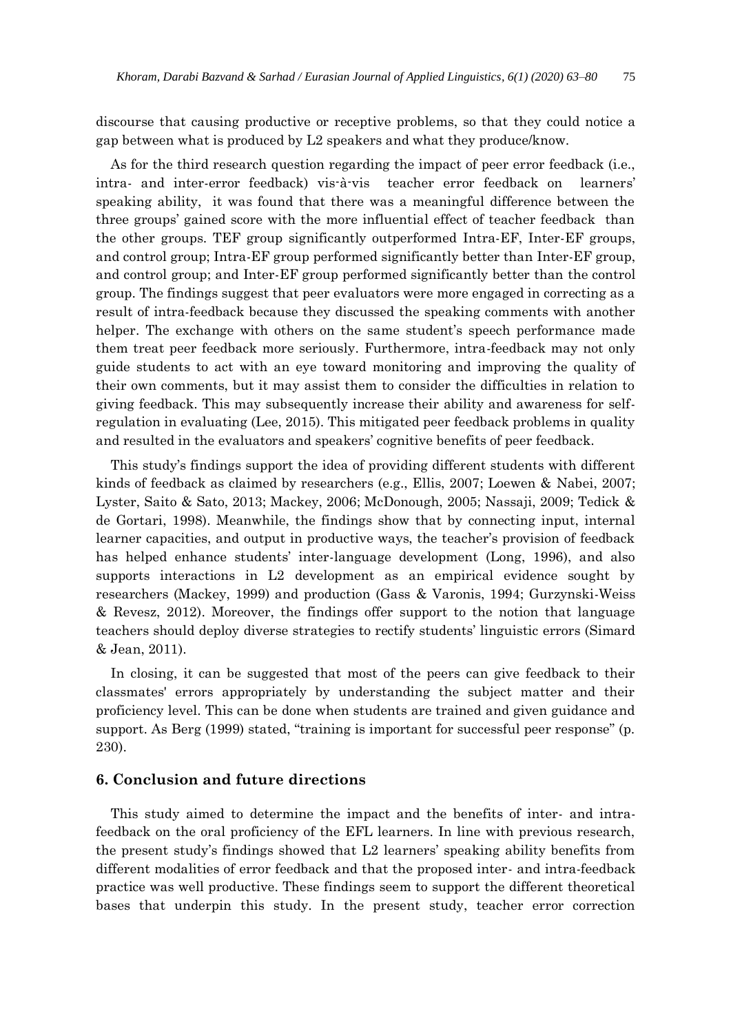discourse that causing productive or receptive problems, so that they could notice a gap between what is produced by L2 speakers and what they produce/know.

As for the third research question regarding the impact of peer error feedback (i.e., intra- and inter-error feedback) vis-à-vis teacher error feedback on learners' speaking ability, it was found that there was a meaningful difference between the three groups' gained score with the more influential effect of teacher feedback than the other groups. TEF group significantly outperformed Intra-EF, Inter-EF groups, and control group; Intra-EF group performed significantly better than Inter-EF group, and control group; and Inter-EF group performed significantly better than the control group. The findings suggest that peer evaluators were more engaged in correcting as a result of intra-feedback because they discussed the speaking comments with another helper. The exchange with others on the same student's speech performance made them treat peer feedback more seriously. Furthermore, intra-feedback may not only guide students to act with an eye toward monitoring and improving the quality of their own comments, but it may assist them to consider the difficulties in relation to giving feedback. This may subsequently increase their ability and awareness for selfregulation in evaluating (Lee, 2015). This mitigated peer feedback problems in quality and resulted in the evaluators and speakers' cognitive benefits of peer feedback.

This study's findings support the idea of providing different students with different kinds of feedback as claimed by researchers (e.g., Ellis, 2007; Loewen & Nabei, 2007; Lyster, Saito & Sato, 2013; Mackey, 2006; McDonough, 2005; Nassaji, 2009; Tedick & de Gortari, 1998). Meanwhile, the findings show that by connecting input, internal learner capacities, and output in productive ways, the teacher's provision of feedback has helped enhance students' inter-language development (Long, 1996), and also supports interactions in L2 development as an empirical evidence sought by researchers (Mackey, 1999) and production (Gass & Varonis, 1994; Gurzynski-Weiss & Revesz, 2012). Moreover, the findings offer support to the notion that language teachers should deploy diverse strategies to rectify students' linguistic errors (Simard & Jean, 2011).

In closing, it can be suggested that most of the peers can give feedback to their classmates' errors appropriately by understanding the subject matter and their proficiency level. This can be done when students are trained and given guidance and support. As Berg (1999) stated, "training is important for successful peer response" (p. 230).

### **6. Conclusion and future directions**

This study aimed to determine the impact and the benefits of inter- and intrafeedback on the oral proficiency of the EFL learners. In line with previous research, the present study's findings showed that L2 learners' speaking ability benefits from different modalities of error feedback and that the proposed inter- and intra-feedback practice was well productive. These findings seem to support the different theoretical bases that underpin this study. In the present study, teacher error correction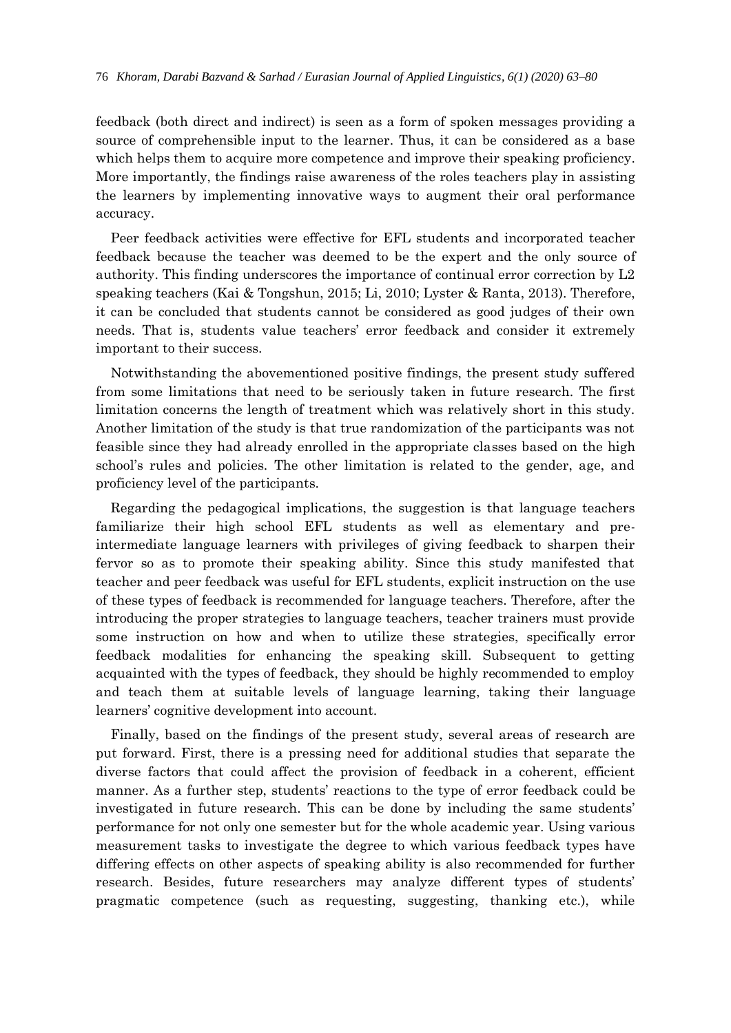feedback (both direct and indirect) is seen as a form of spoken messages providing a source of comprehensible input to the learner. Thus, it can be considered as a base which helps them to acquire more competence and improve their speaking proficiency. More importantly, the findings raise awareness of the roles teachers play in assisting the learners by implementing innovative ways to augment their oral performance accuracy.

Peer feedback activities were effective for EFL students and incorporated teacher feedback because the teacher was deemed to be the expert and the only source of authority. This finding underscores the importance of continual error correction by L2 speaking teachers (Kai & Tongshun, 2015; Li, 2010; Lyster & Ranta, 2013). Therefore, it can be concluded that students cannot be considered as good judges of their own needs. That is, students value teachers' error feedback and consider it extremely important to their success.

Notwithstanding the abovementioned positive findings, the present study suffered from some limitations that need to be seriously taken in future research. The first limitation concerns the length of treatment which was relatively short in this study. Another limitation of the study is that true randomization of the participants was not feasible since they had already enrolled in the appropriate classes based on the high school's rules and policies. The other limitation is related to the gender, age, and proficiency level of the participants.

Regarding the pedagogical implications, the suggestion is that language teachers familiarize their high school EFL students as well as elementary and preintermediate language learners with privileges of giving feedback to sharpen their fervor so as to promote their speaking ability. Since this study manifested that teacher and peer feedback was useful for EFL students, explicit instruction on the use of these types of feedback is recommended for language teachers. Therefore, after the introducing the proper strategies to language teachers, teacher trainers must provide some instruction on how and when to utilize these strategies, specifically error feedback modalities for enhancing the speaking skill. Subsequent to getting acquainted with the types of feedback, they should be highly recommended to employ and teach them at suitable levels of language learning, taking their language learners' cognitive development into account.

Finally, based on the findings of the present study, several areas of research are put forward. First, there is a pressing need for additional studies that separate the diverse factors that could affect the provision of feedback in a coherent, efficient manner. As a further step, students' reactions to the type of error feedback could be investigated in future research. This can be done by including the same students' performance for not only one semester but for the whole academic year. Using various measurement tasks to investigate the degree to which various feedback types have differing effects on other aspects of speaking ability is also recommended for further research. Besides, future researchers may analyze different types of students' pragmatic competence (such as requesting, suggesting, thanking etc.), while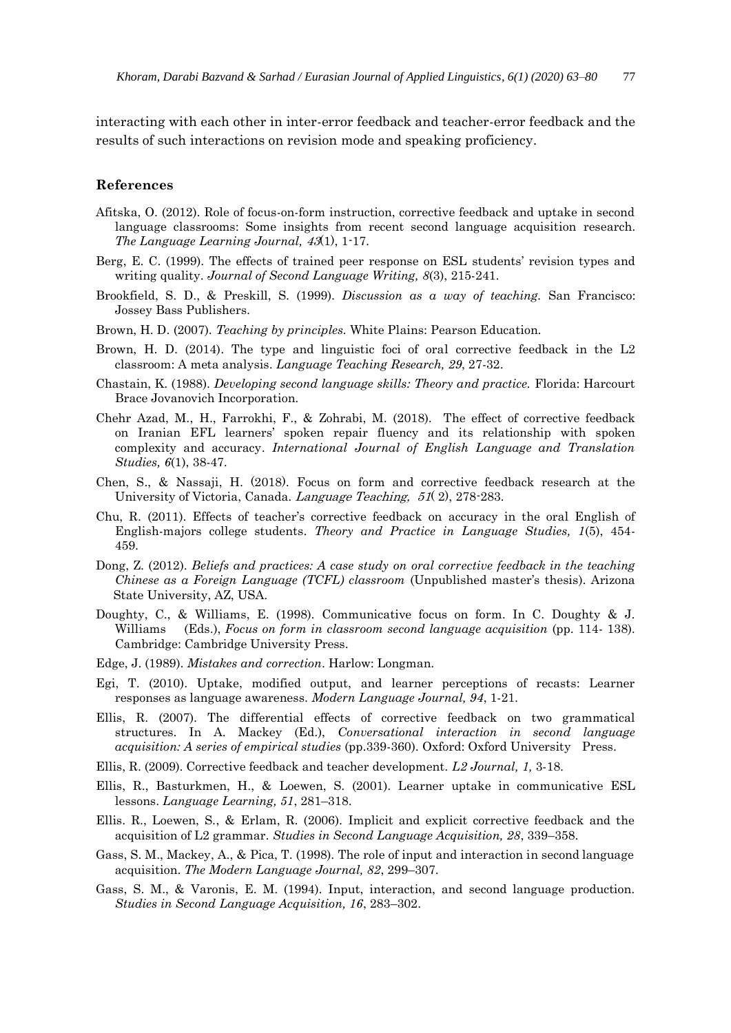interacting with each other in inter-error feedback and teacher-error feedback and the results of such interactions on revision mode and speaking proficiency.

#### **References**

- Afitska, O. (2012). Role of focus-on-form instruction, corrective feedback and uptake in second language classrooms: Some insights from recent second language acquisition research. *The Language Learning Journal,* 43(1), 1-17.
- Berg, E. C. (1999). The effects of trained peer response on ESL students' revision types and writing quality. *Journal of Second Language Writing, 8*(3), 215-241.
- Brookfield, S. D., & Preskill, S. (1999). *Discussion as a way of teaching.* San Francisco: Jossey Bass Publishers.
- Brown, H. D. (2007). *Teaching by principles.* White Plains: Pearson Education.
- Brown, H. D. (2014). The type and linguistic foci of oral corrective feedback in the L2 classroom: A meta analysis. *Language Teaching Research, 29*, 27-32.
- Chastain, K. (1988). *Developing second language skills: Theory and practice.* Florida: Harcourt Brace Jovanovich Incorporation.
- Chehr Azad, M., H., Farrokhi, F., & Zohrabi, M. (2018). The effect of corrective feedback on Iranian EFL learners' spoken repair fluency and its relationship with spoken complexity and accuracy. *International Journal of English Language and Translation Studies, 6*(1), 38-47.
- Chen, S., & Nassaji, H. (2018). Focus on form and corrective feedback research at the University of Victoria, Canada. Language Teaching, [51](https://www.cambridge.org/core/journals/language-teaching/volume/C4D3DC257668C9223FA099FB1A8D73CA)( [2\),](https://www.cambridge.org/core/journals/language-teaching/issue/5F3973B7BF255F32778E4BF506C555B4) 278-283.
- Chu, R. (2011). Effects of teacher's corrective feedback on accuracy in the oral English of English-majors college students. *Theory and Practice in Language Studies, 1*(5), 454- 459.
- Dong, Z. (2012). *Beliefs and practices: A case study on oral corrective feedback in the teaching Chinese as a Foreign Language (TCFL) classroom* (Unpublished master's thesis). Arizona State University, AZ, USA.
- Doughty, C., & Williams, E. (1998). Communicative focus on form. In C. Doughty & J. Williams (Eds.), *Focus on form in classroom second language acquisition* (pp. 114-138). Cambridge: Cambridge University Press.
- Edge, J. (1989). *Mistakes and correction*. Harlow: Longman.
- Egi, T. (2010). Uptake, modified output, and learner perceptions of recasts: Learner responses as language awareness. *Modern Language Journal, 94*, 1-21.
- Ellis, R. (2007). The differential effects of corrective feedback on two grammatical structures. In A. Mackey (Ed.), *Conversational interaction in second language acquisition: A series of empirical studies* (pp.339-360). Oxford: Oxford University Press.
- Ellis, R. (2009). Corrective feedback and teacher development. *L2 Journal, 1,* 3-18.
- Ellis, R., Basturkmen, H., & Loewen, S. (2001). Learner uptake in communicative ESL lessons. *Language Learning, 51*, 281–318.
- Ellis. R., Loewen, S., & Erlam, R. (2006). Implicit and explicit corrective feedback and the acquisition of L2 grammar. *Studies in Second Language Acquisition, 28*, 339–358.
- Gass, S. M., Mackey, A., & Pica, T. (1998). The role of input and interaction in second language acquisition. *The Modern Language Journal, 82*, 299–307.
- Gass, S. M., & Varonis, E. M. (1994). Input, interaction, and second language production. *Studies in Second Language Acquisition, 16*, 283–302.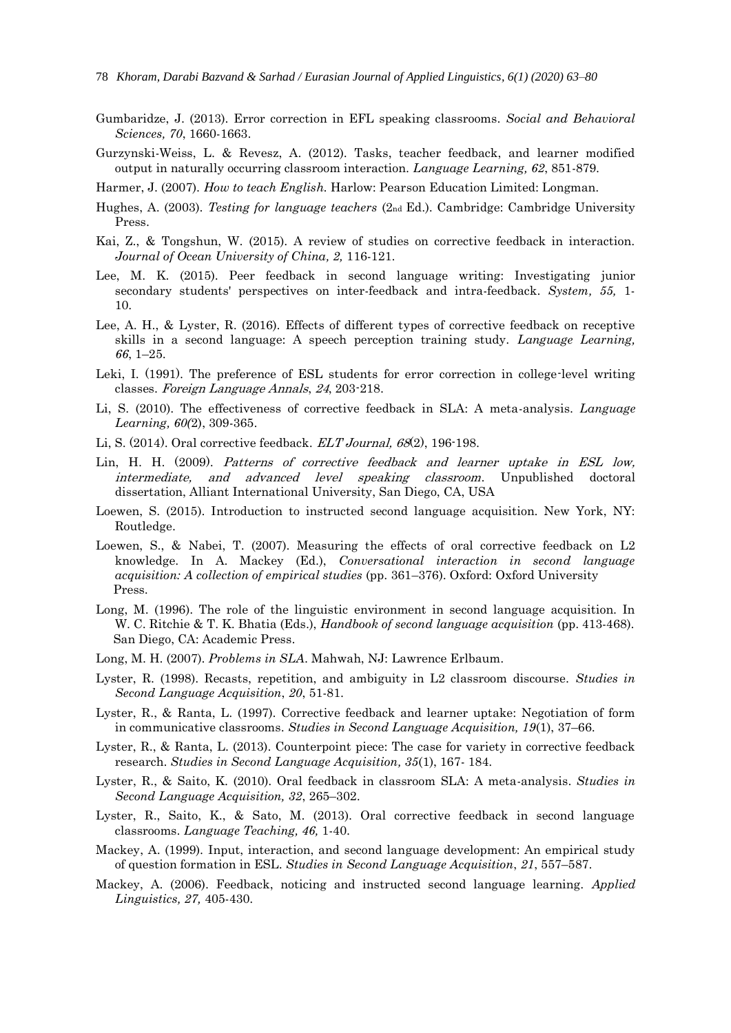- Gumbaridze, J. (2013). Error correction in EFL speaking classrooms. *Social and Behavioral Sciences, 70*, 1660-1663.
- Gurzynski-Weiss, L. & Revesz, A. (2012). Tasks, teacher feedback, and learner modified output in naturally occurring classroom interaction. *Language Learning, 62*, 851-879.

Harmer, J. (2007). *How to teach English.* Harlow: Pearson Education Limited: Longman.

- Hughes, A. (2003). *Testing for language teachers* (2nd Ed.). Cambridge: Cambridge University Press.
- Kai, Z., & Tongshun, W. (2015). A review of studies on corrective feedback in interaction. *Journal of Ocean University of China, 2,* 116-121.
- Lee, M. K. (2015). Peer feedback in second language writing: Investigating junior secondary students' perspectives on inter-feedback and intra-feedback. *System, 55,* 1- 10.
- Lee, A. H., & Lyster, R. (2016). Effects of different types of corrective feedback on receptive skills in a second language: A speech perception training study. *Language Learning, 66*, 1–25.
- Leki, I. (1991). The preference of ESL students for error correction in college-level writing classes. Foreign Language Annals, 24, 203-218.
- Li, S. (2010). The effectiveness of corrective feedback in SLA: A meta-analysis. *Language Learning, 60(*2), 309-365.
- Li, S. (2014). Oral corrective feedback. ELT Journal, 68(2), 196-198.
- Lin, H. H. (2009). Patterns of corrective feedback and learner uptake in ESL low, intermediate, and advanced level speaking classroom. Unpublished doctoral dissertation, Alliant International University, San Diego, CA, USA
- Loewen, S. (2015). Introduction to instructed second language acquisition. New York, NY: Routledge.
- Loewen, S., & Nabei, T. (2007). Measuring the effects of oral corrective feedback on L2 knowledge. In A. Mackey (Ed.), *Conversational interaction in second language acquisition: A collection of empirical studies* (pp. 361–376). Oxford: Oxford University Press.
- Long, M. (1996). The role of the linguistic environment in second language acquisition. In W. C. Ritchie & T. K. Bhatia (Eds.), *Handbook of second language acquisition* (pp. 413-468). San Diego, CA: Academic Press.
- Long, M. H. (2007). *Problems in SLA*. Mahwah, NJ: Lawrence Erlbaum.
- Lyster, R. (1998). Recasts, repetition, and ambiguity in L2 classroom discourse. *Studies in Second Language Acquisition*, *20*, 51-81.
- Lyster, R., & Ranta, L. (1997). Corrective feedback and learner uptake: Negotiation of form in communicative classrooms. *Studies in Second Language Acquisition, 19*(1), 37–66.
- Lyster, R., & Ranta, L. (2013). Counterpoint piece: The case for variety in corrective feedback research. *Studies in Second Language Acquisition, 35*(1), 167- 184.
- Lyster, R., & Saito, K. (2010). Oral feedback in classroom SLA: A meta-analysis. *Studies in Second Language Acquisition, 32*, 265–302.
- Lyster, R., Saito, K., & Sato, M. (2013). Oral corrective feedback in second language classrooms. *Language Teaching, 46,* 1-40.
- Mackey, A. (1999). Input, interaction, and second language development: An empirical study of question formation in ESL. *Studies in Second Language Acquisition*, *21*, 557–587.
- Mackey, A. (2006). Feedback, noticing and instructed second language learning. *Applied Linguistics, 27,* 405-430.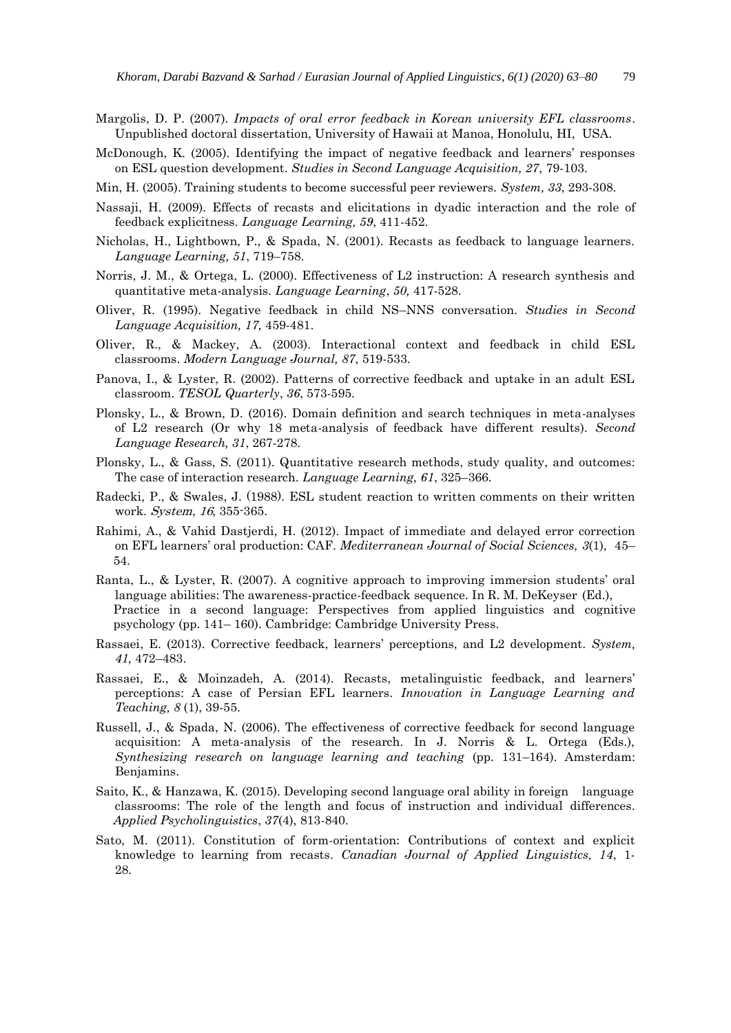- Margolis, D. P. (2007). *Impacts of oral error feedback in Korean university EFL classrooms*. Unpublished doctoral dissertation, University of Hawaii at Manoa, Honolulu, HI, USA.
- McDonough, K. (2005). Identifying the impact of negative feedback and learners' responses on ESL question development. *Studies in Second Language Acquisition, 27*, 79-103.
- Min, H. (2005). Training students to become successful peer reviewers. *System, 33*, 293-308.
- Nassaji, H. (2009). Effects of recasts and elicitations in dyadic interaction and the role of feedback explicitness. *Language Learning, 59*, 411-452.
- Nicholas, H., Lightbown, P., & Spada, N. (2001). Recasts as feedback to language learners. *Language Learning, 51*, 719–758.
- Norris, J. M., & Ortega, L. (2000). Effectiveness of L2 instruction: A research synthesis and quantitative meta-analysis*. Language Learning*, *50,* 417-528.
- Oliver, R. (1995). Negative feedback in child NS–NNS conversation. *Studies in Second Language Acquisition, 17,* 459-481.
- Oliver, R., & Mackey, A. (2003). Interactional context and feedback in child ESL classrooms. *Modern Language Journal, 87*, 519-533.
- Panova, I., & Lyster, R. (2002). Patterns of corrective feedback and uptake in an adult ESL classroom. *TESOL Quarterly*, *36*, 573-595.
- Plonsky, L., & Brown, D. (2016). Domain definition and search techniques in meta-analyses of L2 research (Or why 18 meta-analysis of feedback have different results). *Second Language Research, 31*, 267-278.
- Plonsky, L., & Gass, S. (2011). Quantitative research methods, study quality, and outcomes: The case of interaction research. *Language Learning, 61*, 325–366.
- Radecki, P., & Swales, J. (1988). ESL student reaction to written comments on their written work. System, 16, 355-365.
- Rahimi, A., & Vahid Dastjerdi, H. (2012). Impact of immediate and delayed error correction on EFL learners' oral production: CAF. *Mediterranean Journal of Social Sciences, 3*(1), 45– 54.
- Ranta, L., & Lyster, R. (2007). A cognitive approach to improving immersion students' oral language abilities: The awareness-practice-feedback sequence. In R. M. DeKeyser (Ed.), Practice in a second language: Perspectives from applied linguistics and cognitive psychology (pp. 141– 160). Cambridge: Cambridge University Press.
- Rassaei, E. (2013). Corrective feedback, learners' perceptions, and L2 development. *System, 41,* 472–483.
- Rassaei, E., & Moinzadeh, A. (2014). Recasts, metalinguistic feedback, and learners' perceptions: A case of Persian EFL learners. *Innovation in Language Learning and Teaching, 8* (1), 39-55.
- Russell, J., & Spada, N. (2006). The effectiveness of corrective feedback for second language acquisition: A meta-analysis of the research. In J. Norris & L. Ortega (Eds.), *Synthesizing research on language learning and teaching* (pp. 131–164). Amsterdam: Benjamins.
- Saito, K., & Hanzawa, K. (2015). Developing second language oral ability in foreign language classrooms: The role of the length and focus of instruction and individual differences. *Applied Psycholinguistics*, *37*(4), 813-840.
- Sato, M. (2011). Constitution of form-orientation: Contributions of context and explicit knowledge to learning from recasts. *Canadian Journal of Applied Linguistics, 14*, 1- 28.